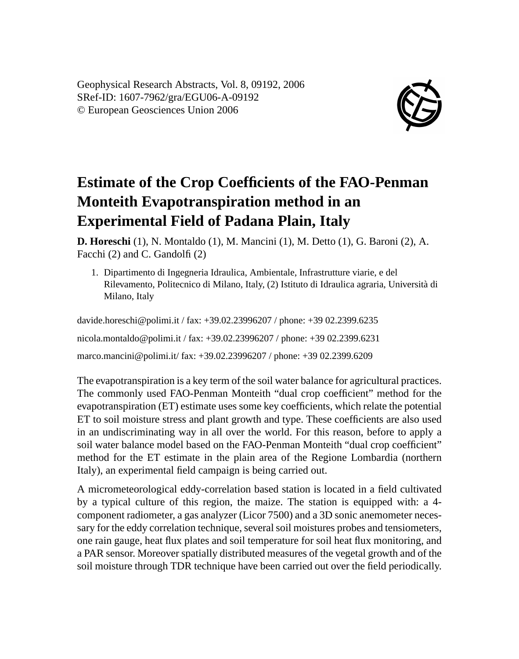Geophysical Research Abstracts, Vol. 8, 09192, 2006 SRef-ID: 1607-7962/gra/EGU06-A-09192 © European Geosciences Union 2006



## **Estimate of the Crop Coefficients of the FAO-Penman Monteith Evapotranspiration method in an Experimental Field of Padana Plain, Italy**

**D. Horeschi** (1), N. Montaldo (1), M. Mancini (1), M. Detto (1), G. Baroni (2), A. Facchi (2) and C. Gandolfi (2)

1. Dipartimento di Ingegneria Idraulica, Ambientale, Infrastrutture viarie, e del Rilevamento, Politecnico di Milano, Italy, (2) Istituto di Idraulica agraria, Università di Milano, Italy

davide.horeschi@polimi.it / fax: +39.02.23996207 / phone: +39 02.2399.6235 nicola.montaldo@polimi.it / fax: +39.02.23996207 / phone: +39 02.2399.6231 marco.mancini@polimi.it/ fax: +39.02.23996207 / phone: +39 02.2399.6209

The evapotranspiration is a key term of the soil water balance for agricultural practices. The commonly used FAO-Penman Monteith "dual crop coefficient" method for the evapotranspiration (ET) estimate uses some key coefficients, which relate the potential ET to soil moisture stress and plant growth and type. These coefficients are also used in an undiscriminating way in all over the world. For this reason, before to apply a soil water balance model based on the FAO-Penman Monteith "dual crop coefficient" method for the ET estimate in the plain area of the Regione Lombardia (northern Italy), an experimental field campaign is being carried out.

A micrometeorological eddy-correlation based station is located in a field cultivated by a typical culture of this region, the maize. The station is equipped with: a 4 component radiometer, a gas analyzer (Licor 7500) and a 3D sonic anemometer necessary for the eddy correlation technique, several soil moistures probes and tensiometers, one rain gauge, heat flux plates and soil temperature for soil heat flux monitoring, and a PAR sensor. Moreover spatially distributed measures of the vegetal growth and of the soil moisture through TDR technique have been carried out over the field periodically.